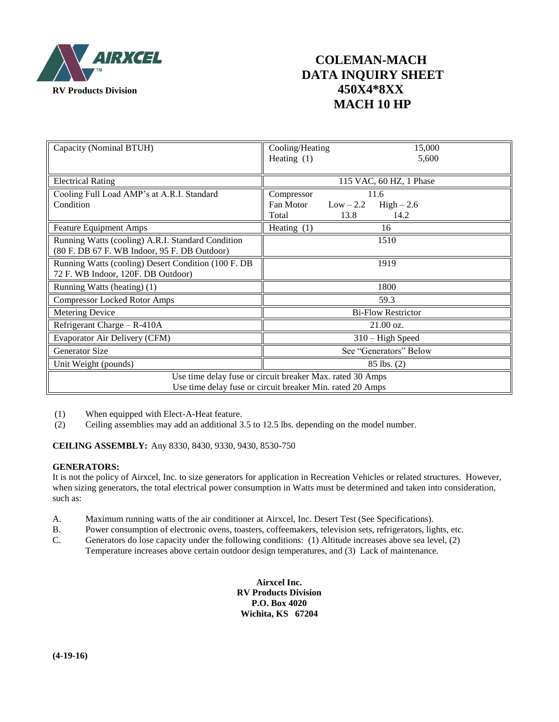

## **COLEMAN-MACH DATA INQUIRY SHEET MACH 10 HP**

| Capacity (Nominal BTUH)                                                                                                | Cooling/Heating<br>15,000<br>Heating $(1)$<br>5,600             |
|------------------------------------------------------------------------------------------------------------------------|-----------------------------------------------------------------|
| <b>Electrical Rating</b>                                                                                               | 115 VAC, 60 HZ, 1 Phase                                         |
| Cooling Full Load AMP's at A.R.I. Standard                                                                             | 11.6<br>Compressor                                              |
| Condition                                                                                                              | Fan Motor<br>$Low - 2.2$<br>$High-2.6$<br>14.2<br>Total<br>13.8 |
| <b>Feature Equipment Amps</b>                                                                                          | Heating $(1)$<br>16                                             |
| Running Watts (cooling) A.R.I. Standard Condition                                                                      | 1510                                                            |
| (80 F. DB 67 F. WB Indoor, 95 F. DB Outdoor)                                                                           |                                                                 |
| Running Watts (cooling) Desert Condition (100 F. DB<br>72 F. WB Indoor, 120F. DB Outdoor)                              | 1919                                                            |
| Running Watts (heating) (1)                                                                                            | 1800                                                            |
| <b>Compressor Locked Rotor Amps</b>                                                                                    | 59.3                                                            |
| <b>Metering Device</b>                                                                                                 | <b>Bi-Flow Restrictor</b>                                       |
| Refrigerant Charge - R-410A                                                                                            | $21.00 \text{ oz.}$                                             |
| Evaporator Air Delivery (CFM)                                                                                          | $310 - High Speed$                                              |
| <b>Generator Size</b>                                                                                                  | See "Generators" Below                                          |
| Unit Weight (pounds)                                                                                                   | $85$ lbs. $(2)$                                                 |
| Use time delay fuse or circuit breaker Max. rated 30 Amps<br>Use time delay fuse or circuit breaker Min. rated 20 Amps |                                                                 |

- (1) When equipped with Elect-A-Heat feature.
- (2) Ceiling assemblies may add an additional 3.5 to 12.5 lbs. depending on the model number.

**CEILING ASSEMBLY:** Any 8330, 8430, 9330, 9430, 8530-750

#### **GENERATORS:**

It is not the policy of Airxcel, Inc. to size generators for application in Recreation Vehicles or related structures. However, when sizing generators, the total electrical power consumption in Watts must be determined and taken into consideration, such as:

- A. Maximum running watts of the air conditioner at Airxcel, Inc. Desert Test (See Specifications).
- B. Power consumption of electronic ovens, toasters, coffeemakers, television sets, refrigerators, lights, etc.
- C. Generators do lose capacity under the following conditions: (1) Altitude increases above sea level, (2) Temperature increases above certain outdoor design temperatures, and (3) Lack of maintenance.

**Airxcel Inc. RV Products Division P.O. Box 4020 Wichita, KS 67204**